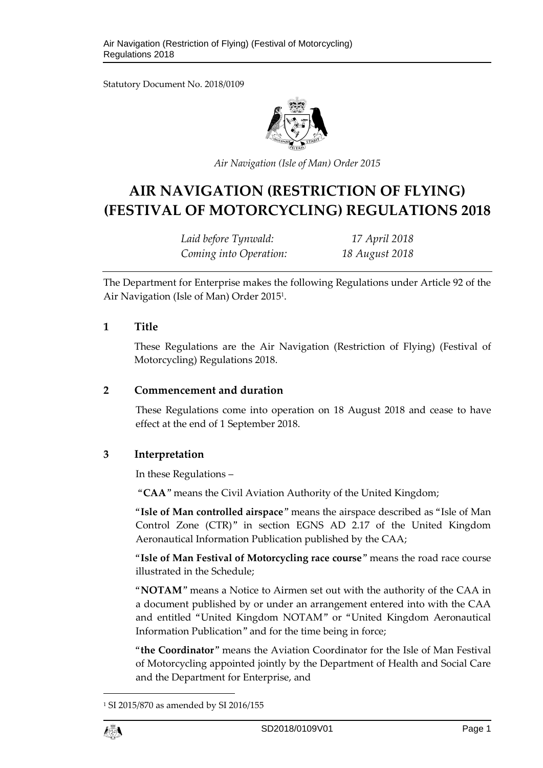Statutory Document No. 2018/0109



*Air Navigation (Isle of Man) Order 2015*

# **AIR NAVIGATION (RESTRICTION OF FLYING) (FESTIVAL OF MOTORCYCLING) REGULATIONS 2018**

*Laid before Tynwald: 17 April 2018 Coming into Operation: 18 August 2018*

The Department for Enterprise makes the following Regulations under Article 92 of the Air Navigation (Isle of Man) Order 2015<sup>1</sup> .

#### **1 Title**

These Regulations are the Air Navigation (Restriction of Flying) (Festival of Motorcycling) Regulations 2018.

# **2 Commencement and duration**

These Regulations come into operation on 18 August 2018 and cease to have effect at the end of 1 September 2018.

# **3 Interpretation**

In these Regulations –

"**CAA**" means the Civil Aviation Authority of the United Kingdom;

"**Isle of Man controlled airspace**" means the airspace described as "Isle of Man Control Zone (CTR)" in section EGNS AD 2.17 of the United Kingdom Aeronautical Information Publication published by the CAA;

"**Isle of Man Festival of Motorcycling race course**" means the road race course illustrated in the Schedule;

"**NOTAM**" means a Notice to Airmen set out with the authority of the CAA in a document published by or under an arrangement entered into with the CAA and entitled "United Kingdom NOTAM" or "United Kingdom Aeronautical Information Publication" and for the time being in force;

"**the Coordinator**" means the Aviation Coordinator for the Isle of Man Festival of Motorcycling appointed jointly by the Department of Health and Social Care and the Department for Enterprise, and

<sup>1</sup> SI 2015/870 as amended by SI 2016/155



1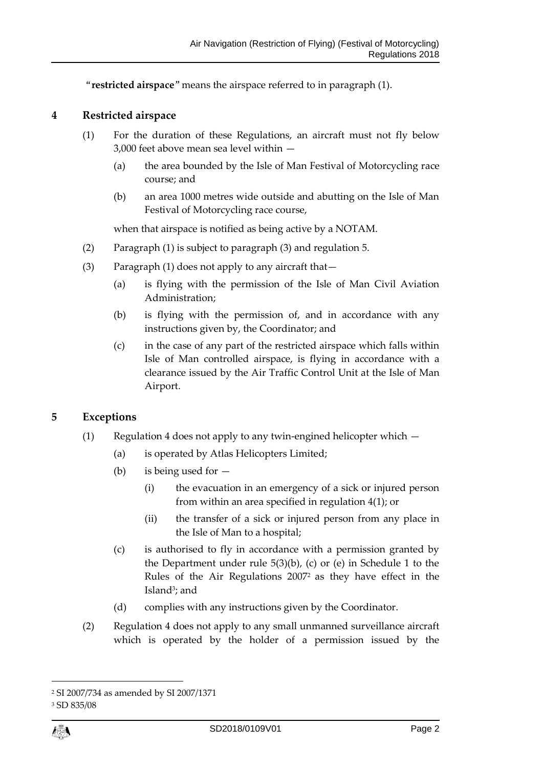"**restricted airspace**" means the airspace referred to in paragraph (1).

#### **4 Restricted airspace**

- (1) For the duration of these Regulations, an aircraft must not fly below 3,000 feet above mean sea level within —
	- (a) the area bounded by the Isle of Man Festival of Motorcycling race course; and
	- (b) an area 1000 metres wide outside and abutting on the Isle of Man Festival of Motorcycling race course,

when that airspace is notified as being active by a NOTAM.

- (2) Paragraph (1) is subject to paragraph (3) and regulation 5.
- (3) Paragraph (1) does not apply to any aircraft that—
	- (a) is flying with the permission of the Isle of Man Civil Aviation Administration;
	- (b) is flying with the permission of, and in accordance with any instructions given by, the Coordinator; and
	- (c) in the case of any part of the restricted airspace which falls within Isle of Man controlled airspace, is flying in accordance with a clearance issued by the Air Traffic Control Unit at the Isle of Man Airport.

# **5 Exceptions**

- (1) Regulation 4 does not apply to any twin-engined helicopter which
	- (a) is operated by Atlas Helicopters Limited;
	- (b) is being used for
		- (i) the evacuation in an emergency of a sick or injured person from within an area specified in regulation 4(1); or
		- (ii) the transfer of a sick or injured person from any place in the Isle of Man to a hospital;
	- (c) is authorised to fly in accordance with a permission granted by the Department under rule 5(3)(b), (c) or (e) in Schedule 1 to the Rules of the Air Regulations 2007<sup>2</sup> as they have effect in the Island<sup>3</sup>; and
	- (d) complies with any instructions given by the Coordinator.
- (2) Regulation 4 does not apply to any small unmanned surveillance aircraft which is operated by the holder of a permission issued by the

1

<sup>2</sup> SI 2007/734 as amended by SI 2007/1371

<sup>3</sup> SD 835/08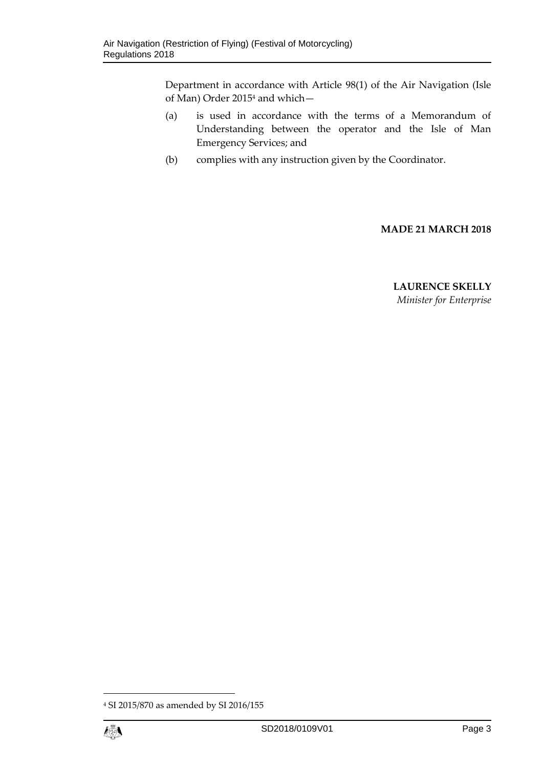Department in accordance with Article 98(1) of the Air Navigation (Isle of Man) Order 2015<sup>4</sup> and which—

- (a) is used in accordance with the terms of a Memorandum of Understanding between the operator and the Isle of Man Emergency Services; and
- (b) complies with any instruction given by the Coordinator.

#### **MADE 21 MARCH 2018**

#### **LAURENCE SKELLY** *Minister for Enterprise*

1

<sup>4</sup> SI 2015/870 as amended by SI 2016/155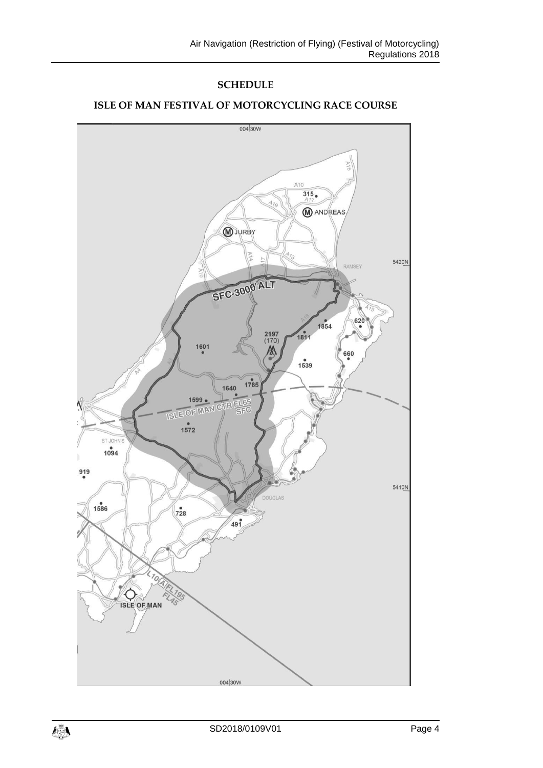# **SCHEDULE**



#### **ISLE OF MAN FESTIVAL OF MOTORCYCLING RACE COURSE**